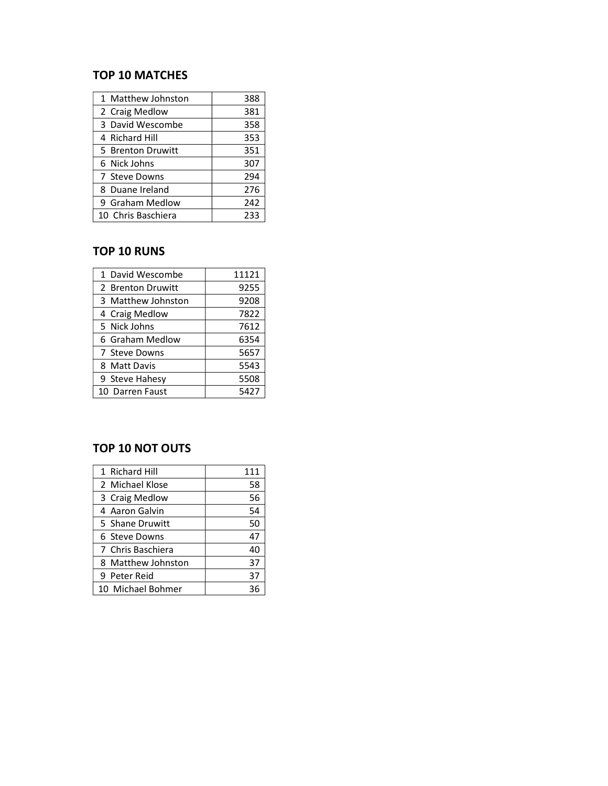#### TOP 10 MATCHES

| 1 Matthew Johnston | 388 |
|--------------------|-----|
| 2 Craig Medlow     | 381 |
| 3 David Wescombe   | 358 |
| 4 Richard Hill     | 353 |
| 5 Brenton Druwitt  | 351 |
| 6 Nick Johns       | 307 |
| 7 Steve Downs      | 294 |
| 8 Duane Ireland    | 276 |
| 9 Graham Medlow    | 242 |
| 10 Chris Baschiera | 233 |

#### TOP 10 RUNS

| 1 David Wescombe   | 11121 |
|--------------------|-------|
| 2 Brenton Druwitt  | 9255  |
| 3 Matthew Johnston | 9208  |
| 4 Craig Medlow     | 7822  |
| 5 Nick Johns       | 7612  |
| 6 Graham Medlow    | 6354  |
| 7 Steve Downs      | 5657  |
| 8 Matt Davis       | 5543  |
| 9 Steve Hahesy     | 5508  |
| 10 Darren Faust    | 5427  |

### TOP 10 NOT OUTS

| 1 Richard Hill     | 111 |
|--------------------|-----|
| 2 Michael Klose    | 58  |
| 3 Craig Medlow     | 56  |
| 4 Aaron Galvin     | 54  |
| 5 Shane Druwitt    | 50  |
| 6 Steve Downs      | 47  |
| 7 Chris Baschiera  | 40  |
| 8 Matthew Johnston | 37  |
| 9 Peter Reid       | 37  |
| 10 Michael Bohmer  |     |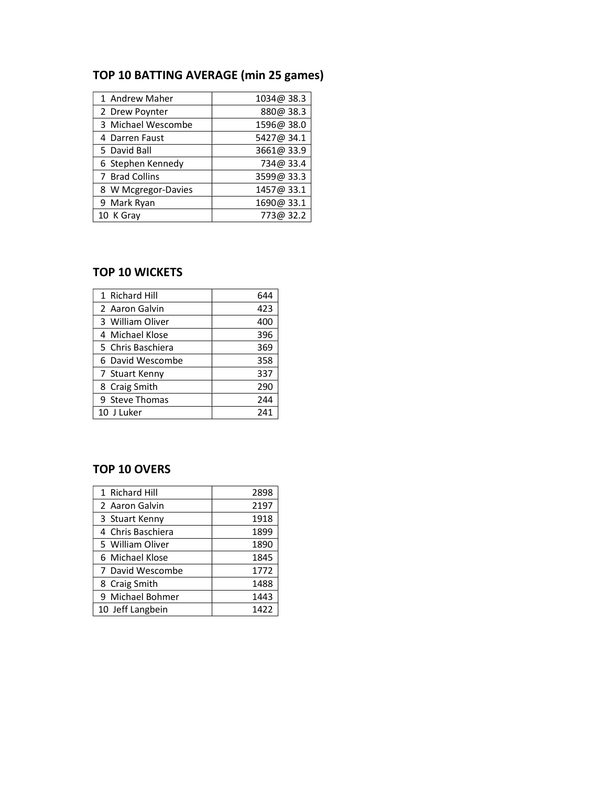# TOP 10 BATTING AVERAGE (min 25 games)

| 1 Andrew Maher      | 1034@ 38.3 |
|---------------------|------------|
| 2 Drew Poynter      | 880@ 38.3  |
| 3 Michael Wescombe  | 1596@ 38.0 |
| 4 Darren Faust      | 5427@ 34.1 |
| 5 David Ball        | 3661@ 33.9 |
| 6 Stephen Kennedy   | 734@33.4   |
| 7 Brad Collins      | 3599@ 33.3 |
| 8 W Mcgregor-Davies | 1457@33.1  |
| 9 Mark Ryan         | 1690@ 33.1 |
| 10 K Gray           | 773@ 32.2  |

#### TOP 10 WICKETS

| 1 Richard Hill    | 644 |
|-------------------|-----|
| 2 Aaron Galvin    | 423 |
| 3 William Oliver  | 400 |
| 4 Michael Klose   | 396 |
| 5 Chris Baschiera | 369 |
| 6 David Wescombe  | 358 |
| 7 Stuart Kenny    | 337 |
| 8 Craig Smith     | 290 |
| 9 Steve Thomas    | 244 |
| 10 J Luker        | 241 |

#### TOP 10 OVERS

| 1 Richard Hill    | 2898 |
|-------------------|------|
| 2 Aaron Galvin    | 2197 |
| 3 Stuart Kenny    | 1918 |
| 4 Chris Baschiera | 1899 |
| 5 William Oliver  | 1890 |
| 6 Michael Klose   | 1845 |
| 7 David Wescombe  | 1772 |
| 8 Craig Smith     | 1488 |
| 9 Michael Bohmer  | 1443 |
| 10 Jeff Langbein  | 1422 |